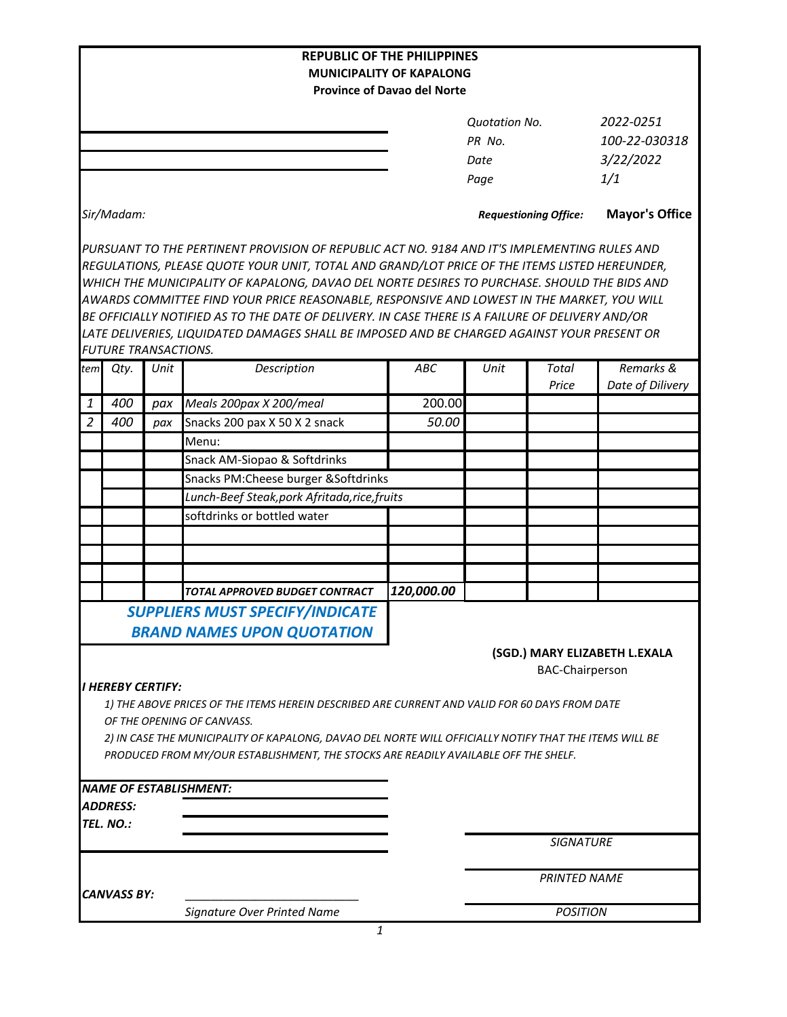|                                                                                                                                                                                            |                                 |      | <b>REPUBLIC OF THE PHILIPPINES</b>                                                                                                                                                            |                                                                       |                              |                        |                               |  |
|--------------------------------------------------------------------------------------------------------------------------------------------------------------------------------------------|---------------------------------|------|-----------------------------------------------------------------------------------------------------------------------------------------------------------------------------------------------|-----------------------------------------------------------------------|------------------------------|------------------------|-------------------------------|--|
|                                                                                                                                                                                            |                                 |      |                                                                                                                                                                                               | <b>MUNICIPALITY OF KAPALONG</b><br><b>Province of Davao del Norte</b> |                              |                        |                               |  |
|                                                                                                                                                                                            |                                 |      |                                                                                                                                                                                               |                                                                       |                              |                        |                               |  |
|                                                                                                                                                                                            |                                 |      |                                                                                                                                                                                               |                                                                       | <b>Quotation No.</b>         |                        | 2022-0251                     |  |
|                                                                                                                                                                                            |                                 |      |                                                                                                                                                                                               | PR No.                                                                |                              |                        | 100-22-030318                 |  |
|                                                                                                                                                                                            |                                 |      |                                                                                                                                                                                               |                                                                       | Date                         |                        | 3/22/2022                     |  |
|                                                                                                                                                                                            |                                 |      |                                                                                                                                                                                               |                                                                       | Page                         |                        | 1/1                           |  |
| Sir/Madam:                                                                                                                                                                                 |                                 |      |                                                                                                                                                                                               |                                                                       | <b>Requestioning Office:</b> |                        | <b>Mayor's Office</b>         |  |
|                                                                                                                                                                                            |                                 |      | PURSUANT TO THE PERTINENT PROVISION OF REPUBLIC ACT NO. 9184 AND IT'S IMPLEMENTING RULES AND<br>REGULATIONS, PLEASE QUOTE YOUR UNIT, TOTAL AND GRAND/LOT PRICE OF THE ITEMS LISTED HEREUNDER, |                                                                       |                              |                        |                               |  |
|                                                                                                                                                                                            |                                 |      |                                                                                                                                                                                               |                                                                       |                              |                        |                               |  |
| WHICH THE MUNICIPALITY OF KAPALONG, DAVAO DEL NORTE DESIRES TO PURCHASE. SHOULD THE BIDS AND<br>AWARDS COMMITTEE FIND YOUR PRICE REASONABLE, RESPONSIVE AND LOWEST IN THE MARKET, YOU WILL |                                 |      |                                                                                                                                                                                               |                                                                       |                              |                        |                               |  |
| BE OFFICIALLY NOTIFIED AS TO THE DATE OF DELIVERY. IN CASE THERE IS A FAILURE OF DELIVERY AND/OR                                                                                           |                                 |      |                                                                                                                                                                                               |                                                                       |                              |                        |                               |  |
|                                                                                                                                                                                            |                                 |      | LATE DELIVERIES, LIQUIDATED DAMAGES SHALL BE IMPOSED AND BE CHARGED AGAINST YOUR PRESENT OR                                                                                                   |                                                                       |                              |                        |                               |  |
|                                                                                                                                                                                            | <b>FUTURE TRANSACTIONS.</b>     |      |                                                                                                                                                                                               |                                                                       |                              |                        |                               |  |
| tem                                                                                                                                                                                        | Qty.                            | Unit | Description                                                                                                                                                                                   | ABC                                                                   | Unit                         | <b>Total</b><br>Price  | Remarks &<br>Date of Dilivery |  |
| 1                                                                                                                                                                                          | 400                             | pax  | Meals 200pax X 200/meal                                                                                                                                                                       | 200.00                                                                |                              |                        |                               |  |
| $\overline{2}$                                                                                                                                                                             | 400                             | pax  | Snacks 200 pax X 50 X 2 snack                                                                                                                                                                 | 50.00                                                                 |                              |                        |                               |  |
|                                                                                                                                                                                            |                                 |      | Menu:                                                                                                                                                                                         |                                                                       |                              |                        |                               |  |
|                                                                                                                                                                                            |                                 |      |                                                                                                                                                                                               |                                                                       |                              |                        |                               |  |
|                                                                                                                                                                                            |                                 |      | Snack AM-Siopao & Softdrinks                                                                                                                                                                  |                                                                       |                              |                        |                               |  |
|                                                                                                                                                                                            |                                 |      | Snacks PM: Cheese burger & Softdrinks                                                                                                                                                         |                                                                       |                              |                        |                               |  |
|                                                                                                                                                                                            |                                 |      | Lunch-Beef Steak, pork Afritada, rice, fruits                                                                                                                                                 |                                                                       |                              |                        |                               |  |
|                                                                                                                                                                                            |                                 |      | softdrinks or bottled water                                                                                                                                                                   |                                                                       |                              |                        |                               |  |
|                                                                                                                                                                                            |                                 |      |                                                                                                                                                                                               |                                                                       |                              |                        |                               |  |
|                                                                                                                                                                                            |                                 |      |                                                                                                                                                                                               |                                                                       |                              |                        |                               |  |
|                                                                                                                                                                                            |                                 |      |                                                                                                                                                                                               |                                                                       |                              |                        |                               |  |
|                                                                                                                                                                                            |                                 |      | TOTAL APPROVED BUDGET CONTRACT                                                                                                                                                                | 120,000.00                                                            |                              |                        |                               |  |
|                                                                                                                                                                                            |                                 |      | <b>SUPPLIERS MUST SPECIFY/INDICATE</b><br><b>BRAND NAMES UPON QUOTATION</b>                                                                                                                   |                                                                       |                              |                        |                               |  |
|                                                                                                                                                                                            |                                 |      |                                                                                                                                                                                               |                                                                       |                              |                        | (SGD.) MARY ELIZABETH L.EXALA |  |
|                                                                                                                                                                                            |                                 |      |                                                                                                                                                                                               |                                                                       |                              | <b>BAC-Chairperson</b> |                               |  |
|                                                                                                                                                                                            | <i><b>I HEREBY CERTIFY:</b></i> |      |                                                                                                                                                                                               |                                                                       |                              |                        |                               |  |
|                                                                                                                                                                                            |                                 |      | 1) THE ABOVE PRICES OF THE ITEMS HEREIN DESCRIBED ARE CURRENT AND VALID FOR 60 DAYS FROM DATE                                                                                                 |                                                                       |                              |                        |                               |  |
| OF THE OPENING OF CANVASS.                                                                                                                                                                 |                                 |      |                                                                                                                                                                                               |                                                                       |                              |                        |                               |  |
|                                                                                                                                                                                            |                                 |      | 2) IN CASE THE MUNICIPALITY OF KAPALONG, DAVAO DEL NORTE WILL OFFICIALLY NOTIFY THAT THE ITEMS WILL BE                                                                                        |                                                                       |                              |                        |                               |  |
|                                                                                                                                                                                            |                                 |      | PRODUCED FROM MY/OUR ESTABLISHMENT, THE STOCKS ARE READILY AVAILABLE OFF THE SHELF.                                                                                                           |                                                                       |                              |                        |                               |  |
|                                                                                                                                                                                            |                                 |      | <b>NAME OF ESTABLISHMENT:</b>                                                                                                                                                                 |                                                                       |                              |                        |                               |  |
|                                                                                                                                                                                            | <b>ADDRESS:</b>                 |      |                                                                                                                                                                                               |                                                                       |                              |                        |                               |  |
|                                                                                                                                                                                            | TEL. NO.:                       |      |                                                                                                                                                                                               |                                                                       |                              |                        |                               |  |
|                                                                                                                                                                                            |                                 |      |                                                                                                                                                                                               |                                                                       | <b>SIGNATURE</b>             |                        |                               |  |
|                                                                                                                                                                                            |                                 |      |                                                                                                                                                                                               |                                                                       |                              |                        |                               |  |
| CANVASS BY:                                                                                                                                                                                |                                 |      |                                                                                                                                                                                               |                                                                       | <b>PRINTED NAME</b>          |                        |                               |  |
|                                                                                                                                                                                            |                                 |      | <b>Signature Over Printed Name</b>                                                                                                                                                            |                                                                       |                              | <b>POSITION</b>        |                               |  |
|                                                                                                                                                                                            |                                 |      | 1                                                                                                                                                                                             |                                                                       |                              |                        |                               |  |